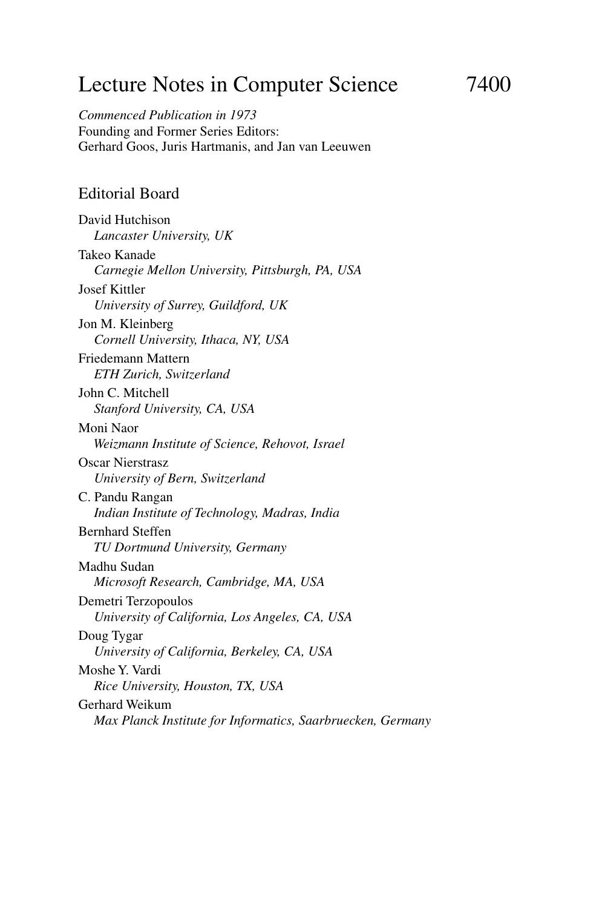# Lecture Notes in Computer Science 7400

*Commenced Publication in 1973* Founding and Former Series Editors: Gerhard Goos, Juris Hartmanis, and Jan van Leeuwen

#### Editorial Board

David Hutchison *Lancaster University, UK* Takeo Kanade *Carnegie Mellon University, Pittsburgh, PA, USA* Josef Kittler *University of Surrey, Guildford, UK* Jon M. Kleinberg *Cornell University, Ithaca, NY, USA* Friedemann Mattern *ETH Zurich, Switzerland* John C. Mitchell *Stanford University, CA, USA* Moni Naor *Weizmann Institute of Science, Rehovot, Israel* Oscar Nierstrasz *University of Bern, Switzerland* C. Pandu Rangan *Indian Institute of Technology, Madras, India* Bernhard Steffen *TU Dortmund University, Germany* Madhu Sudan *Microsoft Research, Cambridge, MA, USA* Demetri Terzopoulos *University of California, Los Angeles, CA, USA* Doug Tygar *University of California, Berkeley, CA, USA* Moshe Y. Vardi *Rice University, Houston, TX, USA* Gerhard Weikum *Max Planck Institute for Informatics, Saarbruecken, Germany*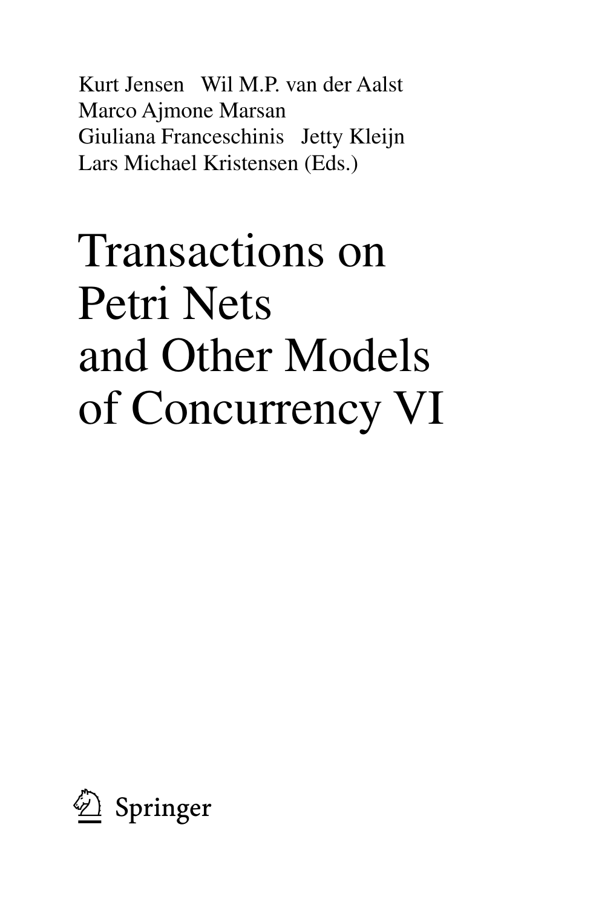Kurt Jensen Wil M.P. van der Aalst Marco Ajmone Marsan Giuliana Franceschinis Jetty Kleijn Lars Michael Kristensen (Eds.)

# Transactions on Petri Nets and Other Models of Concurrency VI

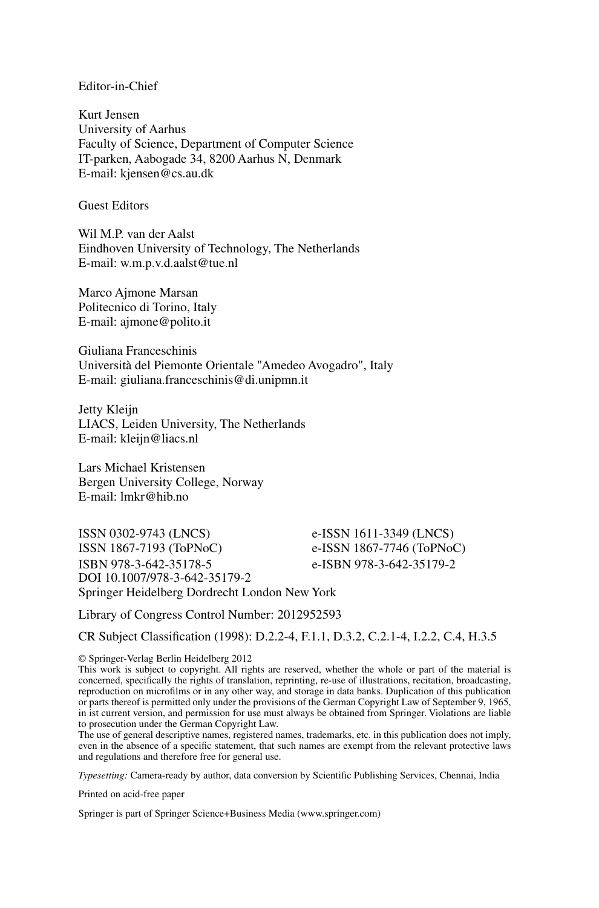#### Editor-in-Chief

Kurt Jensen University of Aarhus Faculty of Science, Department of Computer Science IT-parken, Aabogade 34, 8200 Aarhus N, Denmark E-mail: kjensen@cs.au.dk

Guest Editors

Wil M.P. van der Aalst Eindhoven University of Technology, The Netherlands E-mail: w.m.p.v.d.aalst@tue.nl

Marco Ajmone Marsan Politecnico di Torino, Italy E-mail: ajmone@polito.it

Giuliana Franceschinis Università del Piemonte Orientale "Amedeo Avogadro", Italy E-mail: giuliana.franceschinis@di.unipmn.it

Jetty Kleijn LIACS, Leiden University, The Netherlands E-mail: kleijn@liacs.nl

Lars Michael Kristensen Bergen University College, Norway E-mail: lmkr@hib.no

ISSN 0302-9743 (LNCS) e-ISSN 1611-3349 (LNCS) ISBN 978-3-642-35178-5 e-ISBN 978-3-642-35179-2 DOI 10.1007/978-3-642-35179-2 Springer Heidelberg Dordrecht London New York

e-ISSN 1867-7746 (ToPNoC)

Library of Congress Control Number: 2012952593

CR Subject Classification (1998): D.2.2-4, F.1.1, D.3.2, C.2.1-4, I.2.2, C.4, H.3.5

© Springer-Verlag Berlin Heidelberg 2012

This work is subject to copyright. All rights are reserved, whether the whole or part of the material is concerned, specifically the rights of translation, reprinting, re-use of illustrations, recitation, broadcasting, reproduction on microfilms or in any other way, and storage in data banks. Duplication of this publication or parts thereof is permitted only under the provisions of the German Copyright Law of September 9, 1965, in ist current version, and permission for use must always be obtained from Springer. Violations are liable to prosecution under the German Copyright Law.

The use of general descriptive names, registered names, trademarks, etc. in this publication does not imply, even in the absence of a specific statement, that such names are exempt from the relevant protective laws and regulations and therefore free for general use.

*Typesetting:* Camera-ready by author, data conversion by Scientific Publishing Services, Chennai, India

Printed on acid-free paper

Springer is part of Springer Science+Business Media (www.springer.com)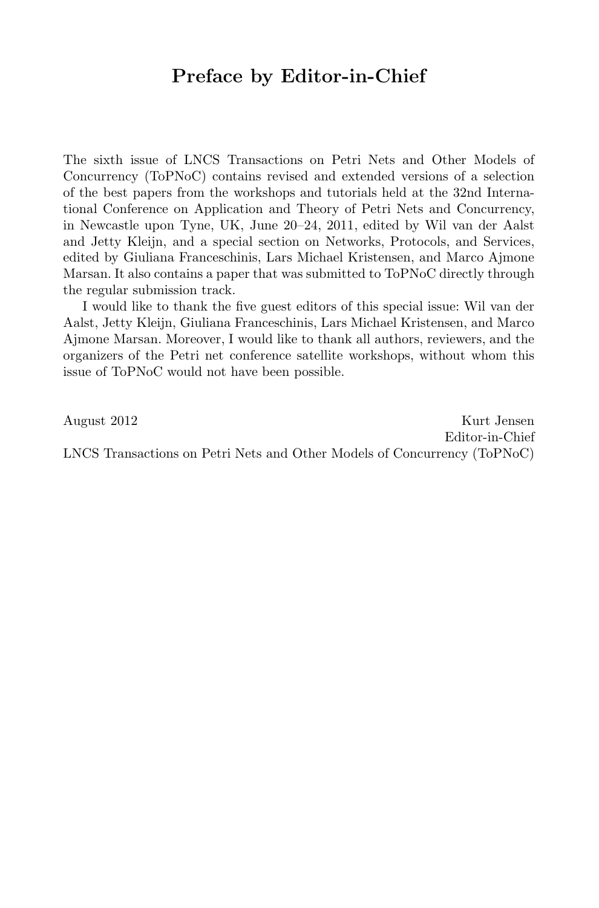## **Preface by Editor-in-Chief**

The sixth issue of LNCS Transactions on Petri Nets and Other Models of Concurrency (ToPNoC) contains revised and extended versions of a selection of the best papers from the workshops and tutorials held at the 32nd International Conference on Application and Theory of Petri Nets and Concurrency, in Newcastle upon Tyne, UK, June 20–24, 2011, edited by Wil van der Aalst and Jetty Kleijn, and a special section on Networks, Protocols, and Services, edited by Giuliana Franceschinis, Lars Michael Kristensen, and Marco Ajmone Marsan. It also contains a paper that was submitted to ToPNoC directly through the regular submission track.

I would like to thank the five guest editors of this special issue: Wil van der Aalst, Jetty Kleijn, Giuliana Franceschinis, Lars Michael Kristensen, and Marco Ajmone Marsan. Moreover, I would like to thank all authors, reviewers, and the organizers of the Petri net conference satellite workshops, without whom this issue of ToPNoC would not have been possible.

August 2012 Kurt Jensen Editor-in-Chief LNCS Transactions on Petri Nets and Other Models of Concurrency (ToPNoC)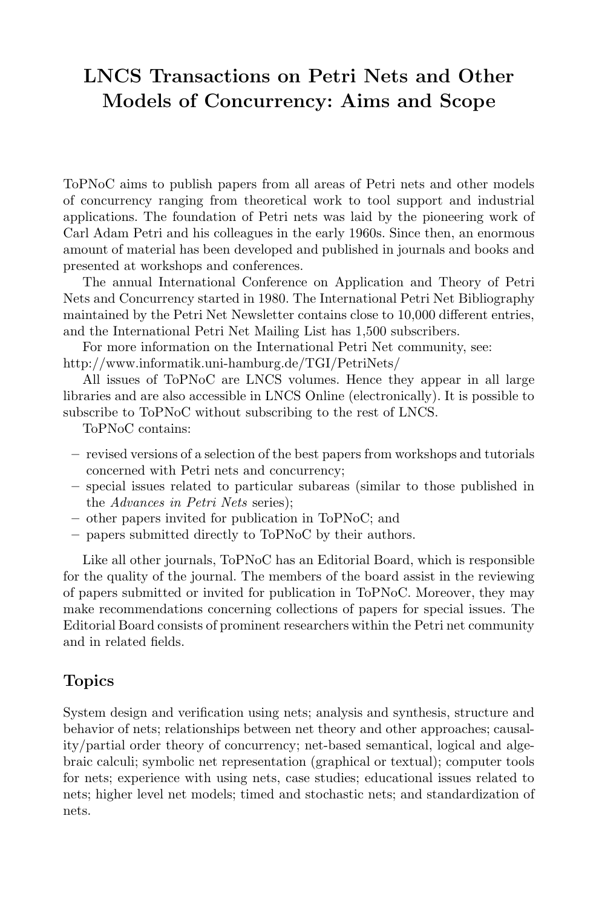# **LNCS Transactions on Petri Nets and Other Models of Concurrency: Aims and Scope**

ToPNoC aims to publish papers from all areas of Petri nets and other models of concurrency ranging from theoretical work to tool support and industrial applications. The foundation of Petri nets was laid by the pioneering work of Carl Adam Petri and his colleagues in the early 1960s. Since then, an enormous amount of material has been developed and published in journals and books and presented at workshops and conferences.

The annual International Conference on Application and Theory of Petri Nets and Concurrency started in 1980. The International Petri Net Bibliography maintained by the Petri Net Newsletter contains close to 10,000 different entries, and the International Petri Net Mailing List has 1,500 subscribers.

For more information on the International Petri Net community, see: http://www.informatik.uni-hamburg.de/TGI/PetriNets/

All issues of ToPNoC are LNCS volumes. Hence they appear in all large libraries and are also accessible in LNCS Online (electronically). It is possible to subscribe to ToPNoC without subscribing to the rest of LNCS.

ToPNoC contains:

- **–** revised versions of a selection of the best papers from workshops and tutorials concerned with Petri nets and concurrency;
- **–** special issues related to particular subareas (similar to those published in the *Advances in Petri Nets* series);
- **–** other papers invited for publication in ToPNoC; and
- **–** papers submitted directly to ToPNoC by their authors.

Like all other journals, ToPNoC has an Editorial Board, which is responsible for the quality of the journal. The members of the board assist in the reviewing of papers submitted or invited for publication in ToPNoC. Moreover, they may make recommendations concerning collections of papers for special issues. The Editorial Board consists of prominent researchers within the Petri net community and in related fields.

#### **Topics**

System design and verification using nets; analysis and synthesis, structure and behavior of nets; relationships between net theory and other approaches; causality/partial order theory of concurrency; net-based semantical, logical and algebraic calculi; symbolic net representation (graphical or textual); computer tools for nets; experience with using nets, case studies; educational issues related to nets; higher level net models; timed and stochastic nets; and standardization of nets.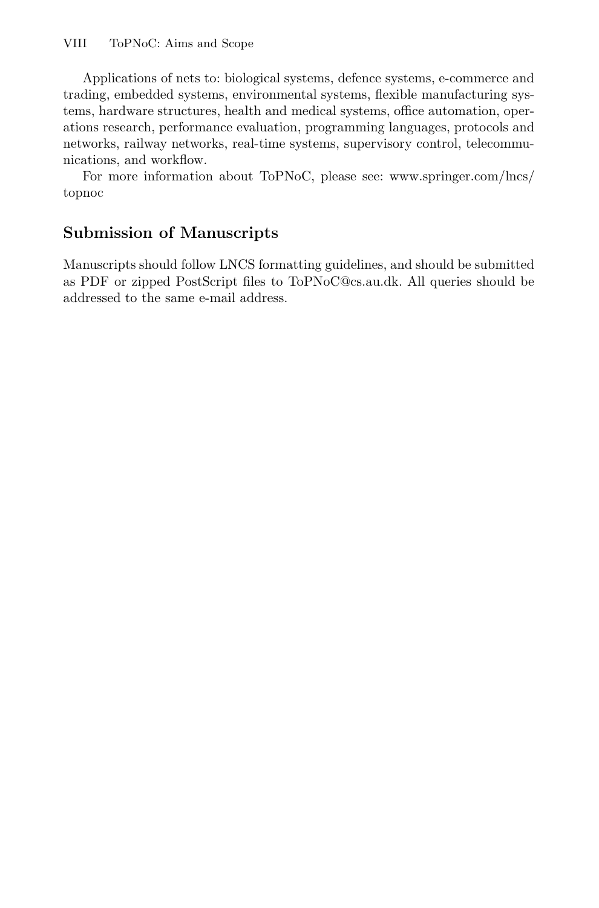Applications of nets to: biological systems, defence systems, e-commerce and trading, embedded systems, environmental systems, flexible manufacturing systems, hardware structures, health and medical systems, office automation, operations research, performance evaluation, programming languages, protocols and networks, railway networks, real-time systems, supervisory control, telecommunications, and workflow.

For more information about ToPNoC, please see: www.springer.com/lncs/ topnoc

## **Submission of Manuscripts**

Manuscripts should follow LNCS formatting guidelines, and should be submitted as PDF or zipped PostScript files to ToPNoC@cs.au.dk. All queries should be addressed to the same e-mail address.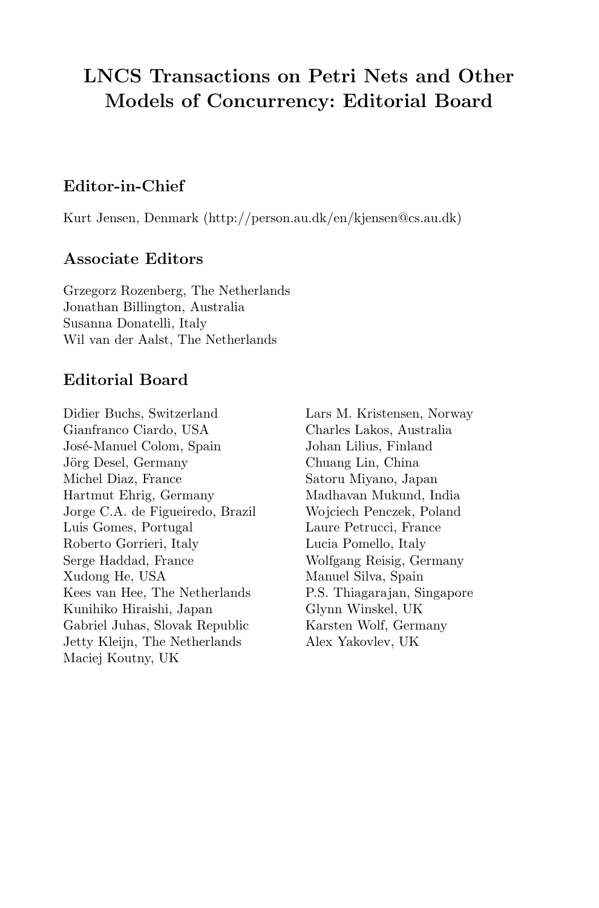# **LNCS Transactions on Petri Nets and Other Models of Concurrency: Editorial Board**

## **Editor-in-Chief**

Kurt Jensen, Denmark (http://person.au.dk/en/kjensen@cs.au.dk)

#### **Associate Editors**

Grzegorz Rozenberg, The Netherlands Jonathan Billington, Australia Susanna Donatelli, Italy Wil van der Aalst, The Netherlands

### **Editorial Board**

Didier Buchs, Switzerland Gianfranco Ciardo, USA José-Manuel Colom, Spain Jörg Desel, Germany Michel Diaz, France Hartmut Ehrig, Germany Jorge C.A. de Figueiredo, Brazil Luis Gomes, Portugal Roberto Gorrieri, Italy Serge Haddad, France Xudong He, USA Kees van Hee, The Netherlands Kunihiko Hiraishi, Japan Gabriel Juhas, Slovak Republic Jetty Kleijn, The Netherlands Maciej Koutny, UK

Lars M. Kristensen, Norway Charles Lakos, Australia Johan Lilius, Finland Chuang Lin, China Satoru Miyano, Japan Madhavan Mukund, India Wojciech Penczek, Poland Laure Petrucci, France Lucia Pomello, Italy Wolfgang Reisig, Germany Manuel Silva, Spain P.S. Thiagarajan, Singapore Glynn Winskel, UK Karsten Wolf, Germany Alex Yakovlev, UK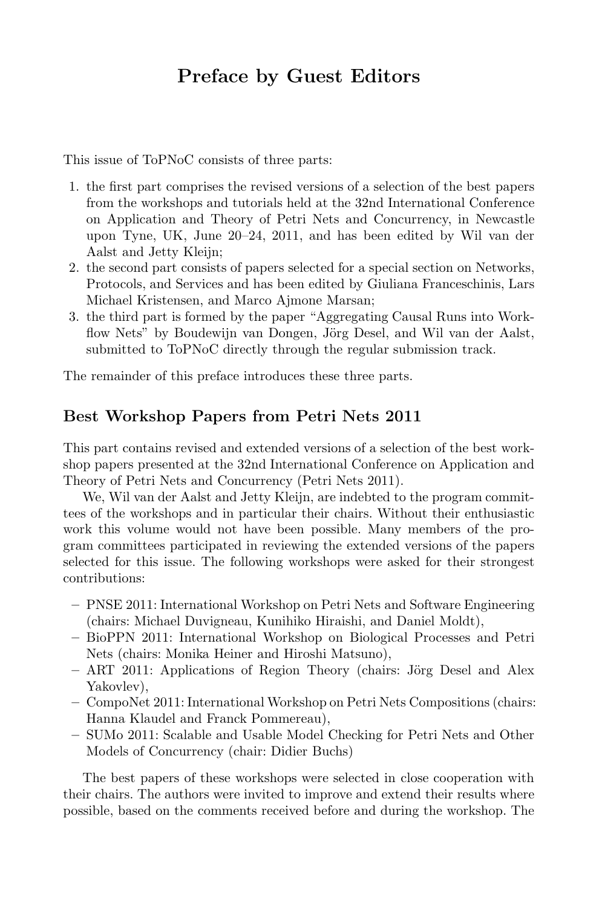## **Preface by Guest Editors**

This issue of ToPNoC consists of three parts:

- 1. the first part comprises the revised versions of a selection of the best papers from the workshops and tutorials held at the 32nd International Conference on Application and Theory of Petri Nets and Concurrency, in Newcastle upon Tyne, UK, June 20–24, 2011, and has been edited by Wil van der Aalst and Jetty Kleijn;
- 2. the second part consists of papers selected for a special section on Networks, Protocols, and Services and has been edited by Giuliana Franceschinis, Lars Michael Kristensen, and Marco Ajmone Marsan;
- 3. the third part is formed by the paper "Aggregating Causal Runs into Workflow Nets" by Boudewijn van Dongen, Jörg Desel, and Wil van der Aalst, submitted to ToPNoC directly through the regular submission track.

The remainder of this preface introduces these three parts.

#### **Best Workshop Papers from Petri Nets 2011**

This part contains revised and extended versions of a selection of the best workshop papers presented at the 32nd International Conference on Application and Theory of Petri Nets and Concurrency (Petri Nets 2011).

We, Wil van der Aalst and Jetty Kleijn, are indebted to the program committees of the workshops and in particular their chairs. Without their enthusiastic work this volume would not have been possible. Many members of the program committees participated in reviewing the extended versions of the papers selected for this issue. The following workshops were asked for their strongest contributions:

- **–** PNSE 2011: International Workshop on Petri Nets and Software Engineering (chairs: Michael Duvigneau, Kunihiko Hiraishi, and Daniel Moldt),
- **–** BioPPN 2011: International Workshop on Biological Processes and Petri Nets (chairs: Monika Heiner and Hiroshi Matsuno),
- ART 2011: Applications of Region Theory (chairs: Jörg Desel and Alex Yakovlev),
- **–** CompoNet 2011: International Workshop on Petri Nets Compositions (chairs: Hanna Klaudel and Franck Pommereau),
- **–** SUMo 2011: Scalable and Usable Model Checking for Petri Nets and Other Models of Concurrency (chair: Didier Buchs)

The best papers of these workshops were selected in close cooperation with their chairs. The authors were invited to improve and extend their results where possible, based on the comments received before and during the workshop. The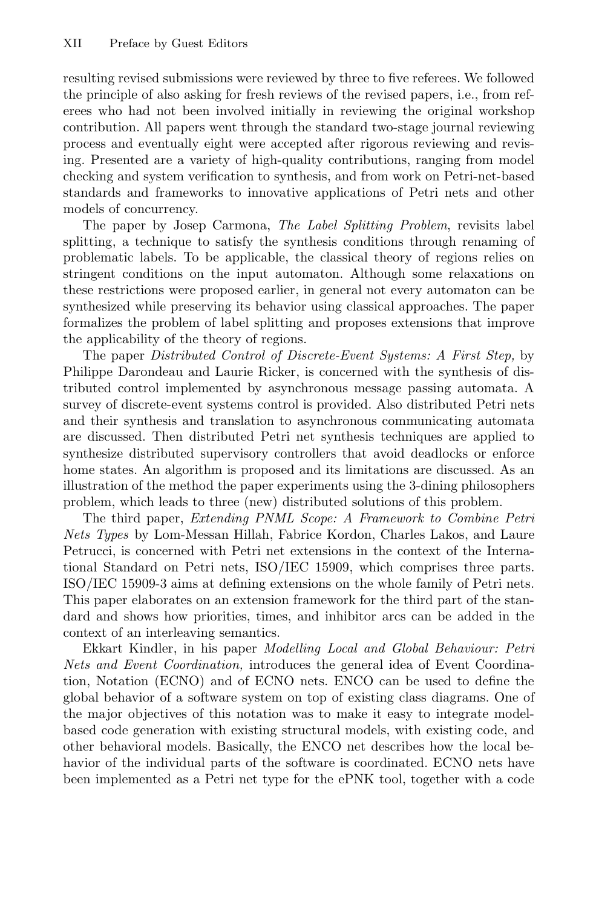resulting revised submissions were reviewed by three to five referees. We followed the principle of also asking for fresh reviews of the revised papers, i.e., from referees who had not been involved initially in reviewing the original workshop contribution. All papers went through the standard two-stage journal reviewing process and eventually eight were accepted after rigorous reviewing and revising. Presented are a variety of high-quality contributions, ranging from model checking and system verification to synthesis, and from work on Petri-net-based standards and frameworks to innovative applications of Petri nets and other models of concurrency.

The paper by Josep Carmona, *The Label Splitting Problem*, revisits label splitting, a technique to satisfy the synthesis conditions through renaming of problematic labels. To be applicable, the classical theory of regions relies on stringent conditions on the input automaton. Although some relaxations on these restrictions were proposed earlier, in general not every automaton can be synthesized while preserving its behavior using classical approaches. The paper formalizes the problem of label splitting and proposes extensions that improve the applicability of the theory of regions.

The paper *Distributed Control of Discrete-Event Systems: A First Step,* by Philippe Darondeau and Laurie Ricker, is concerned with the synthesis of distributed control implemented by asynchronous message passing automata. A survey of discrete-event systems control is provided. Also distributed Petri nets and their synthesis and translation to asynchronous communicating automata are discussed. Then distributed Petri net synthesis techniques are applied to synthesize distributed supervisory controllers that avoid deadlocks or enforce home states. An algorithm is proposed and its limitations are discussed. As an illustration of the method the paper experiments using the 3-dining philosophers problem, which leads to three (new) distributed solutions of this problem.

The third paper, *Extending PNML Scope: A Framework to Combine Petri Nets Types* by Lom-Messan Hillah, Fabrice Kordon, Charles Lakos, and Laure Petrucci, is concerned with Petri net extensions in the context of the International Standard on Petri nets, ISO/IEC 15909, which comprises three parts. ISO/IEC 15909-3 aims at defining extensions on the whole family of Petri nets. This paper elaborates on an extension framework for the third part of the standard and shows how priorities, times, and inhibitor arcs can be added in the context of an interleaving semantics.

Ekkart Kindler, in his paper *Modelling Local and Global Behaviour: Petri Nets and Event Coordination,* introduces the general idea of Event Coordination, Notation (ECNO) and of ECNO nets. ENCO can be used to define the global behavior of a software system on top of existing class diagrams. One of the major objectives of this notation was to make it easy to integrate modelbased code generation with existing structural models, with existing code, and other behavioral models. Basically, the ENCO net describes how the local behavior of the individual parts of the software is coordinated. ECNO nets have been implemented as a Petri net type for the ePNK tool, together with a code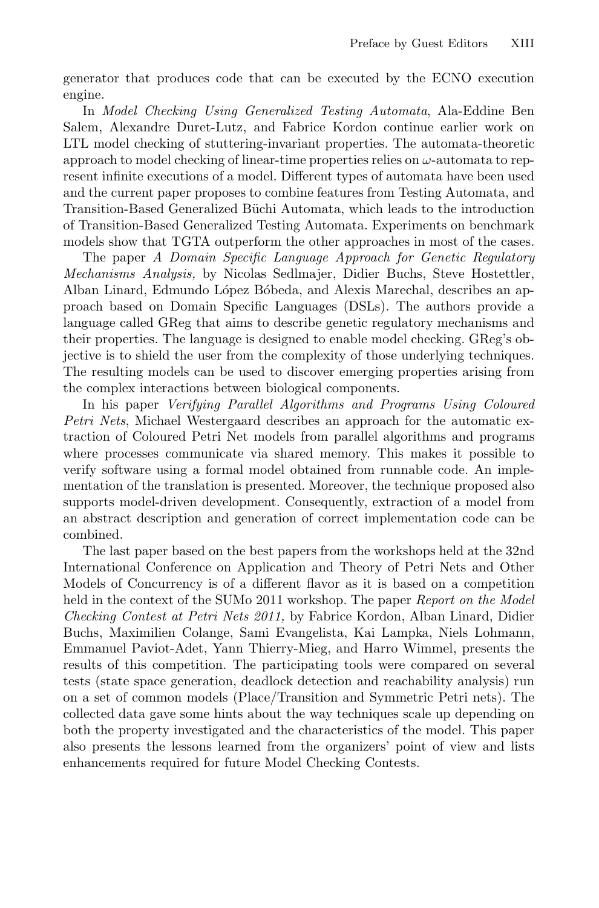generator that produces code that can be executed by the ECNO execution engine.

In *Model Checking Using Generalized Testing Automata*, Ala-Eddine Ben Salem, Alexandre Duret-Lutz, and Fabrice Kordon continue earlier work on LTL model checking of stuttering-invariant properties. The automata-theoretic approach to model checking of linear-time properties relies on  $\omega$ -automata to represent infinite executions of a model. Different types of automata have been used and the current paper proposes to combine features from Testing Automata, and Transition-Based Generalized Büchi Automata, which leads to the introduction of Transition-Based Generalized Testing Automata. Experiments on benchmark models show that TGTA outperform the other approaches in most of the cases.

The paper *A Domain Specific Language Approach for Genetic Regulatory Mechanisms Analysis,* by Nicolas Sedlmajer, Didier Buchs, Steve Hostettler, Alban Linard, Edmundo López Bóbeda, and Alexis Marechal, describes an approach based on Domain Specific Languages (DSLs). The authors provide a language called GReg that aims to describe genetic regulatory mechanisms and their properties. The language is designed to enable model checking. GReg's objective is to shield the user from the complexity of those underlying techniques. The resulting models can be used to discover emerging properties arising from the complex interactions between biological components.

In his paper *Verifying Parallel Algorithms and Programs Using Coloured Petri Nets*, Michael Westergaard describes an approach for the automatic extraction of Coloured Petri Net models from parallel algorithms and programs where processes communicate via shared memory. This makes it possible to verify software using a formal model obtained from runnable code. An implementation of the translation is presented. Moreover, the technique proposed also supports model-driven development. Consequently, extraction of a model from an abstract description and generation of correct implementation code can be combined.

The last paper based on the best papers from the workshops held at the 32nd International Conference on Application and Theory of Petri Nets and Other Models of Concurrency is of a different flavor as it is based on a competition held in the context of the SUMo 2011 workshop. The paper *Report on the Model Checking Contest at Petri Nets 2011,* by Fabrice Kordon, Alban Linard, Didier Buchs, Maximilien Colange, Sami Evangelista, Kai Lampka, Niels Lohmann, Emmanuel Paviot-Adet, Yann Thierry-Mieg, and Harro Wimmel, presents the results of this competition. The participating tools were compared on several tests (state space generation, deadlock detection and reachability analysis) run on a set of common models (Place/Transition and Symmetric Petri nets). The collected data gave some hints about the way techniques scale up depending on both the property investigated and the characteristics of the model. This paper also presents the lessons learned from the organizers' point of view and lists enhancements required for future Model Checking Contests.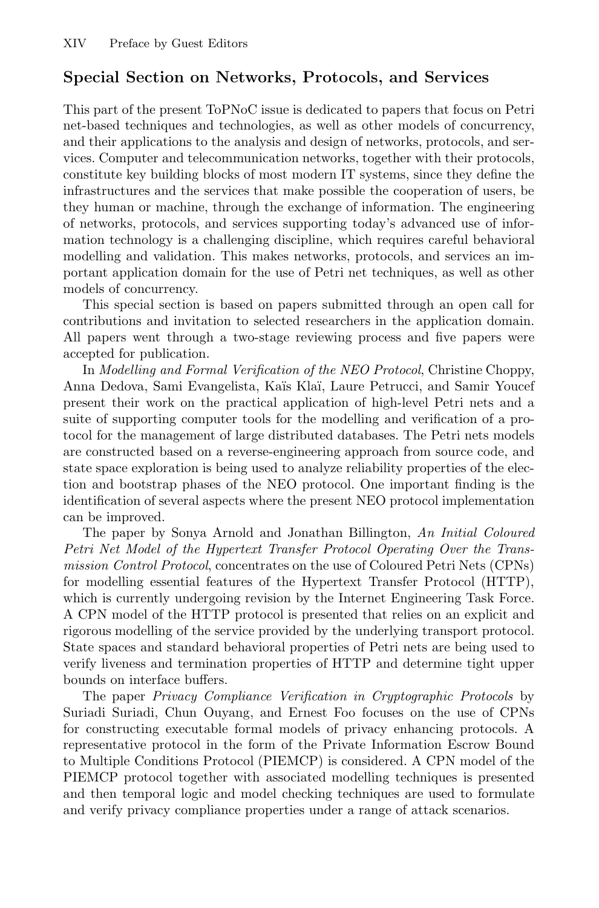#### **Special Section on Networks, Protocols, and Services**

This part of the present ToPNoC issue is dedicated to papers that focus on Petri net-based techniques and technologies, as well as other models of concurrency, and their applications to the analysis and design of networks, protocols, and services. Computer and telecommunication networks, together with their protocols, constitute key building blocks of most modern IT systems, since they define the infrastructures and the services that make possible the cooperation of users, be they human or machine, through the exchange of information. The engineering of networks, protocols, and services supporting today's advanced use of information technology is a challenging discipline, which requires careful behavioral modelling and validation. This makes networks, protocols, and services an important application domain for the use of Petri net techniques, as well as other models of concurrency.

This special section is based on papers submitted through an open call for contributions and invitation to selected researchers in the application domain. All papers went through a two-stage reviewing process and five papers were accepted for publication.

In *Modelling and Formal Verification of the NEO Protocol*, Christine Choppy, Anna Dedova, Sami Evangelista, Kaïs Klaï, Laure Petrucci, and Samir Youcef present their work on the practical application of high-level Petri nets and a suite of supporting computer tools for the modelling and verification of a protocol for the management of large distributed databases. The Petri nets models are constructed based on a reverse-engineering approach from source code, and state space exploration is being used to analyze reliability properties of the election and bootstrap phases of the NEO protocol. One important finding is the identification of several aspects where the present NEO protocol implementation can be improved.

The paper by Sonya Arnold and Jonathan Billington, *An Initial Coloured Petri Net Model of the Hypertext Transfer Protocol Operating Over the Transmission Control Protocol*, concentrates on the use of Coloured Petri Nets (CPNs) for modelling essential features of the Hypertext Transfer Protocol (HTTP), which is currently undergoing revision by the Internet Engineering Task Force. A CPN model of the HTTP protocol is presented that relies on an explicit and rigorous modelling of the service provided by the underlying transport protocol. State spaces and standard behavioral properties of Petri nets are being used to verify liveness and termination properties of HTTP and determine tight upper bounds on interface buffers.

The paper *Privacy Compliance Verification in Cryptographic Protocols* by Suriadi Suriadi, Chun Ouyang, and Ernest Foo focuses on the use of CPNs for constructing executable formal models of privacy enhancing protocols. A representative protocol in the form of the Private Information Escrow Bound to Multiple Conditions Protocol (PIEMCP) is considered. A CPN model of the PIEMCP protocol together with associated modelling techniques is presented and then temporal logic and model checking techniques are used to formulate and verify privacy compliance properties under a range of attack scenarios.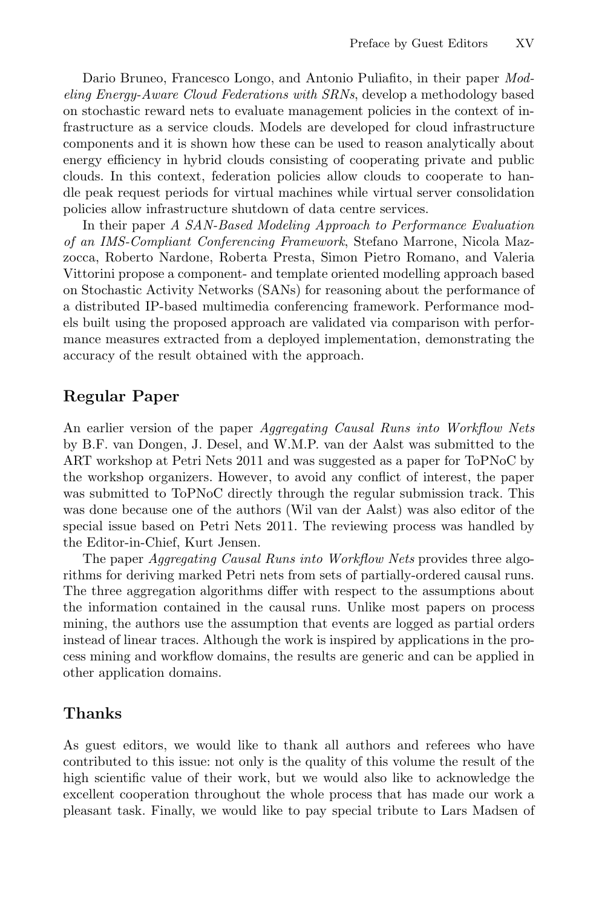Dario Bruneo, Francesco Longo, and Antonio Puliafito, in their paper *Modeling Energy-Aware Cloud Federations with SRNs*, develop a methodology based on stochastic reward nets to evaluate management policies in the context of infrastructure as a service clouds. Models are developed for cloud infrastructure components and it is shown how these can be used to reason analytically about energy efficiency in hybrid clouds consisting of cooperating private and public clouds. In this context, federation policies allow clouds to cooperate to handle peak request periods for virtual machines while virtual server consolidation policies allow infrastructure shutdown of data centre services.

In their paper *A SAN-Based Modeling Approach to Performance Evaluation of an IMS-Compliant Conferencing Framework*, Stefano Marrone, Nicola Mazzocca, Roberto Nardone, Roberta Presta, Simon Pietro Romano, and Valeria Vittorini propose a component- and template oriented modelling approach based on Stochastic Activity Networks (SANs) for reasoning about the performance of a distributed IP-based multimedia conferencing framework. Performance models built using the proposed approach are validated via comparison with performance measures extracted from a deployed implementation, demonstrating the accuracy of the result obtained with the approach.

#### **Regular Paper**

An earlier version of the paper *Aggregating Causal Runs into Workflow Nets* by B.F. van Dongen, J. Desel, and W.M.P. van der Aalst was submitted to the ART workshop at Petri Nets 2011 and was suggested as a paper for ToPNoC by the workshop organizers. However, to avoid any conflict of interest, the paper was submitted to ToPNoC directly through the regular submission track. This was done because one of the authors (Wil van der Aalst) was also editor of the special issue based on Petri Nets 2011. The reviewing process was handled by the Editor-in-Chief, Kurt Jensen.

The paper *Aggregating Causal Runs into Workflow Nets* provides three algorithms for deriving marked Petri nets from sets of partially-ordered causal runs. The three aggregation algorithms differ with respect to the assumptions about the information contained in the causal runs. Unlike most papers on process mining, the authors use the assumption that events are logged as partial orders instead of linear traces. Although the work is inspired by applications in the process mining and workflow domains, the results are generic and can be applied in other application domains.

#### **Thanks**

As guest editors, we would like to thank all authors and referees who have contributed to this issue: not only is the quality of this volume the result of the high scientific value of their work, but we would also like to acknowledge the excellent cooperation throughout the whole process that has made our work a pleasant task. Finally, we would like to pay special tribute to Lars Madsen of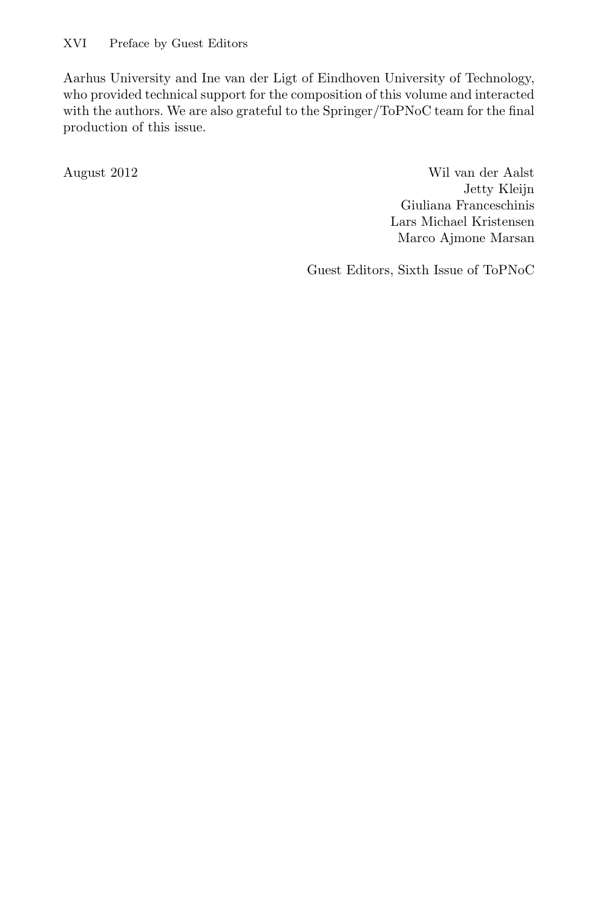Aarhus University and Ine van der Ligt of Eindhoven University of Technology, who provided technical support for the composition of this volume and interacted with the authors. We are also grateful to the Springer/ToPNoC team for the final production of this issue.

August 2012 Wil van der Aalst Jetty Kleijn Giuliana Franceschinis Lars Michael Kristensen Marco Ajmone Marsan

Guest Editors, Sixth Issue of ToPNoC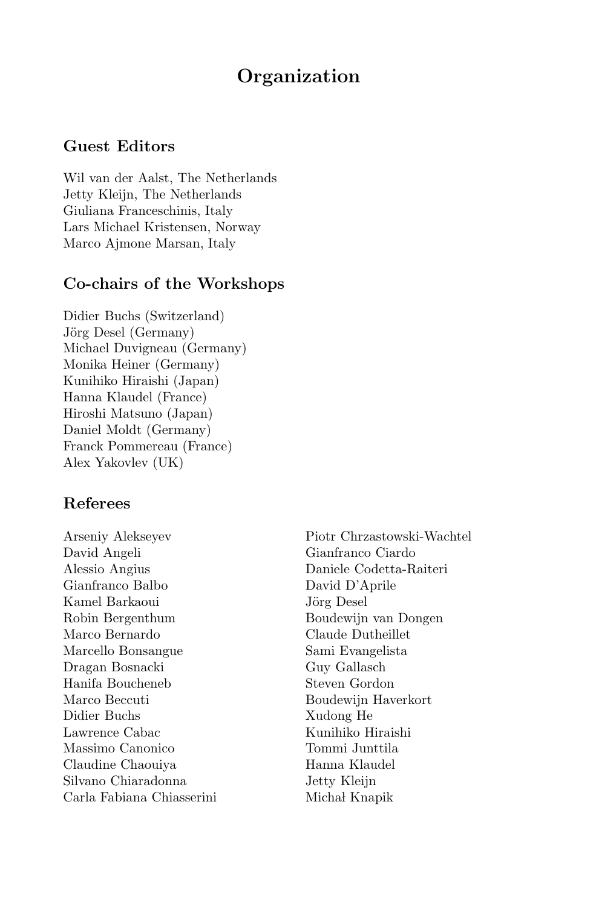# **Organization**

#### **Guest Editors**

Wil van der Aalst, The Netherlands Jetty Kleijn, The Netherlands Giuliana Franceschinis, Italy Lars Michael Kristensen, Norway Marco Ajmone Marsan, Italy

#### **Co-chairs of the Workshops**

Didier Buchs (Switzerland) Jörg Desel (Germany) Michael Duvigneau (Germany) Monika Heiner (Germany) Kunihiko Hiraishi (Japan) Hanna Klaudel (France) Hiroshi Matsuno (Japan) Daniel Moldt (Germany) Franck Pommereau (France) Alex Yakovlev (UK)

#### **Referees**

Arseniy Alekseyev David Angeli Alessio Angius Gianfranco Balbo Kamel Barkaoui Robin Bergenthum Marco Bernardo Marcello Bonsangue Dragan Bosnacki Hanifa Boucheneb Marco Beccuti Didier Buchs Lawrence Cabac Massimo Canonico Claudine Chaouiya Silvano Chiaradonna Carla Fabiana Chiasserini Piotr Chrzastowski-Wachtel Gianfranco Ciardo Daniele Codetta-Raiteri David D'Aprile Jörg Desel Boudewijn van Dongen Claude Dutheillet Sami Evangelista Guy Gallasch Steven Gordon Boudewijn Haverkort Xudong He Kunihiko Hiraishi Tommi Junttila Hanna Klaudel Jetty Kleijn Michal Knapik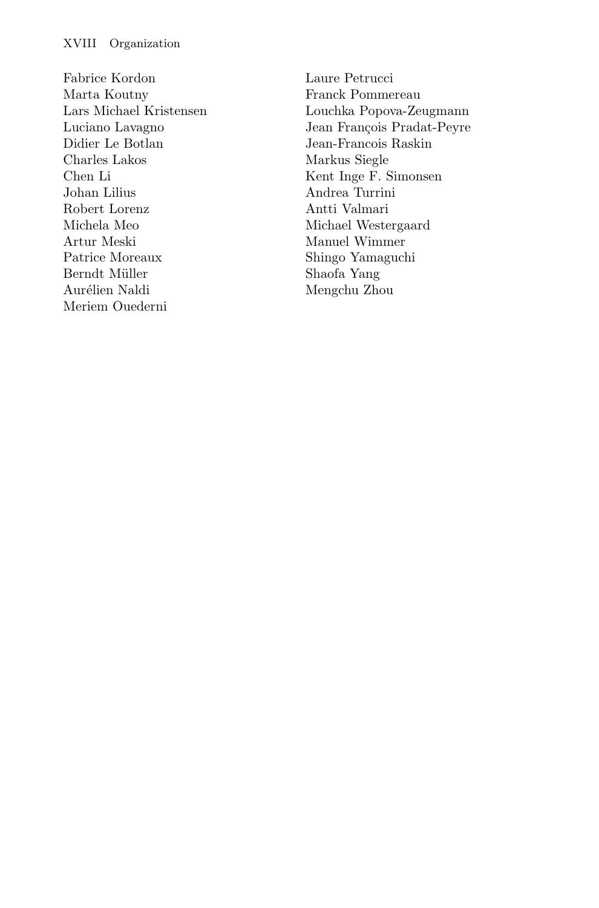Fabrice Kordon Marta Koutny Lars Michael Kristensen Luciano Lavagno Didier Le Botlan Charles Lakos Chen Li Johan Lilius Robert Lorenz Michela Meo Artur Meski Patrice Moreaux Berndt Müller Aurélien Naldi Meriem Ouederni

Laure Petrucci Franck Pommereau Louchka Popova-Zeugmann Jean François Pradat-Peyre Jean-Francois Raskin Markus Siegle Kent Inge F. Simonsen Andrea Turrini Antti Valmari Michael Westergaard Manuel Wimmer Shingo Yamaguchi Shaofa Yang Mengchu Zhou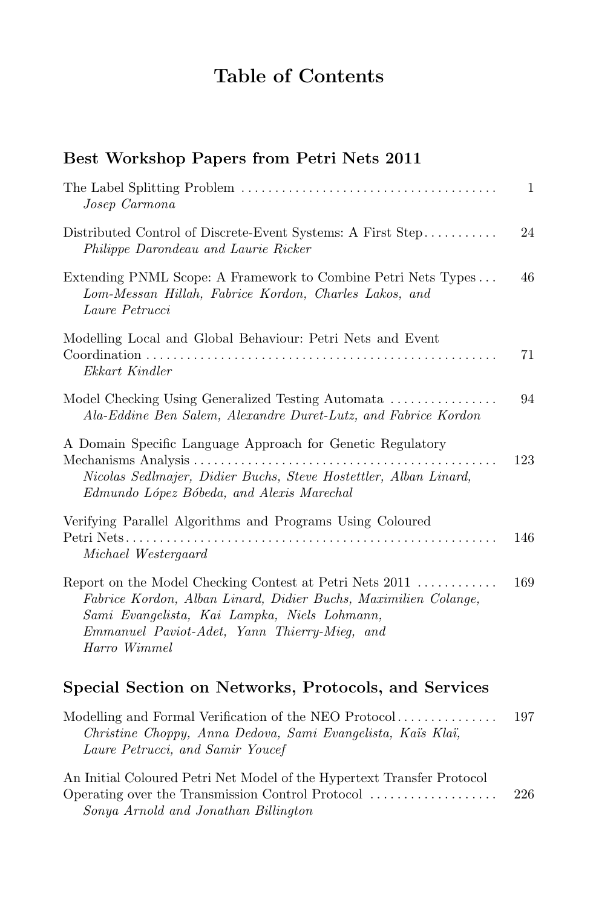# **Table of Contents**

## **Best Workshop Papers from Petri Nets 2011**

| Josep Carmona                                                                                                                                                                                                                              | 1   |
|--------------------------------------------------------------------------------------------------------------------------------------------------------------------------------------------------------------------------------------------|-----|
| Distributed Control of Discrete-Event Systems: A First Step<br>Philippe Darondeau and Laurie Ricker                                                                                                                                        | 24  |
| Extending PNML Scope: A Framework to Combine Petri Nets Types<br>Lom-Messan Hillah, Fabrice Kordon, Charles Lakos, and<br>Laure Petrucci                                                                                                   | 46  |
| Modelling Local and Global Behaviour: Petri Nets and Event                                                                                                                                                                                 |     |
| Ekkart Kindler                                                                                                                                                                                                                             | 71  |
| Model Checking Using Generalized Testing Automata<br>Ala-Eddine Ben Salem, Alexandre Duret-Lutz, and Fabrice Kordon                                                                                                                        | 94  |
| A Domain Specific Language Approach for Genetic Regulatory                                                                                                                                                                                 | 123 |
| Nicolas Sedlmajer, Didier Buchs, Steve Hostettler, Alban Linard,<br>Edmundo López Bóbeda, and Alexis Marechal                                                                                                                              |     |
| Verifying Parallel Algorithms and Programs Using Coloured                                                                                                                                                                                  |     |
| Michael Westergaard                                                                                                                                                                                                                        | 146 |
| Report on the Model Checking Contest at Petri Nets 2011<br>Fabrice Kordon, Alban Linard, Didier Buchs, Maximilien Colange,<br>Sami Evangelista, Kai Lampka, Niels Lohmann,<br>Emmanuel Paviot-Adet, Yann Thierry-Mieg, and<br>Harro Wimmel | 169 |

## **Special Section on Networks, Protocols, and Services**

| Christine Choppy, Anna Dedova, Sami Evangelista, Kaïs Klaï,            |  |
|------------------------------------------------------------------------|--|
| Laure Petrucci, and Samir Youcef                                       |  |
| An Initial Coloured Petri Net Model of the Hypertext Transfer Protocol |  |
|                                                                        |  |
| Sonya Arnold and Jonathan Billington                                   |  |